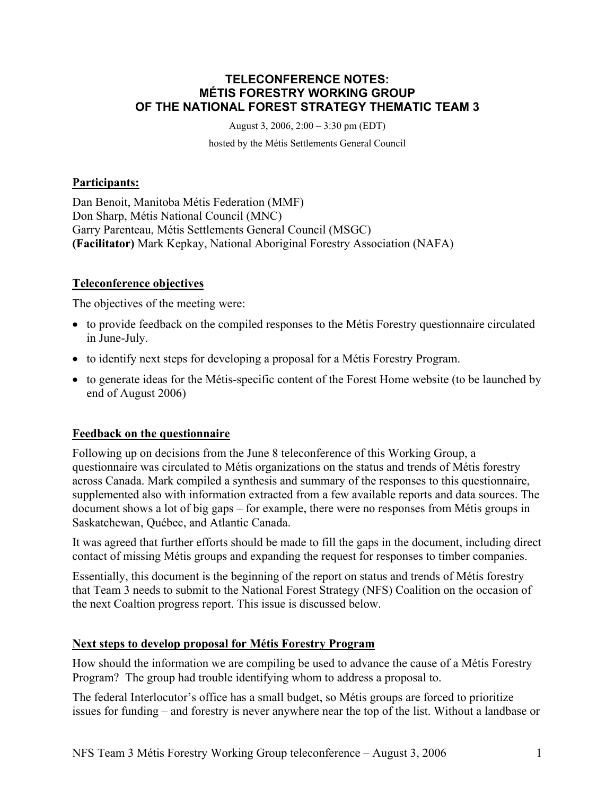#### **TELECONFERENCE NOTES: MÉTIS FORESTRY WORKING GROUP OF THE NATIONAL FOREST STRATEGY THEMATIC TEAM 3**

August 3, 2006, 2:00 – 3:30 pm (EDT)

hosted by the Métis Settlements General Council

#### **Participants:**

Dan Benoit, Manitoba Métis Federation (MMF) Don Sharp, Métis National Council (MNC) Garry Parenteau, Métis Settlements General Council (MSGC) **(Facilitator)** Mark Kepkay, National Aboriginal Forestry Association (NAFA)

## **Teleconference objectives**

The objectives of the meeting were:

- to provide feedback on the compiled responses to the Métis Forestry questionnaire circulated in June-July.
- to identify next steps for developing a proposal for a Métis Forestry Program.
- to generate ideas for the Métis-specific content of the Forest Home website (to be launched by end of August 2006)

## **Feedback on the questionnaire**

Following up on decisions from the June 8 teleconference of this Working Group, a questionnaire was circulated to Métis organizations on the status and trends of Métis forestry across Canada. Mark compiled a synthesis and summary of the responses to this questionnaire, supplemented also with information extracted from a few available reports and data sources. The document shows a lot of big gaps – for example, there were no responses from Métis groups in Saskatchewan, Québec, and Atlantic Canada.

It was agreed that further efforts should be made to fill the gaps in the document, including direct contact of missing Métis groups and expanding the request for responses to timber companies.

Essentially, this document is the beginning of the report on status and trends of Métis forestry that Team 3 needs to submit to the National Forest Strategy (NFS) Coalition on the occasion of the next Coaltion progress report. This issue is discussed below.

## **Next steps to develop proposal for Métis Forestry Program**

How should the information we are compiling be used to advance the cause of a Métis Forestry Program? The group had trouble identifying whom to address a proposal to.

The federal Interlocutor's office has a small budget, so Métis groups are forced to prioritize issues for funding – and forestry is never anywhere near the top of the list. Without a landbase or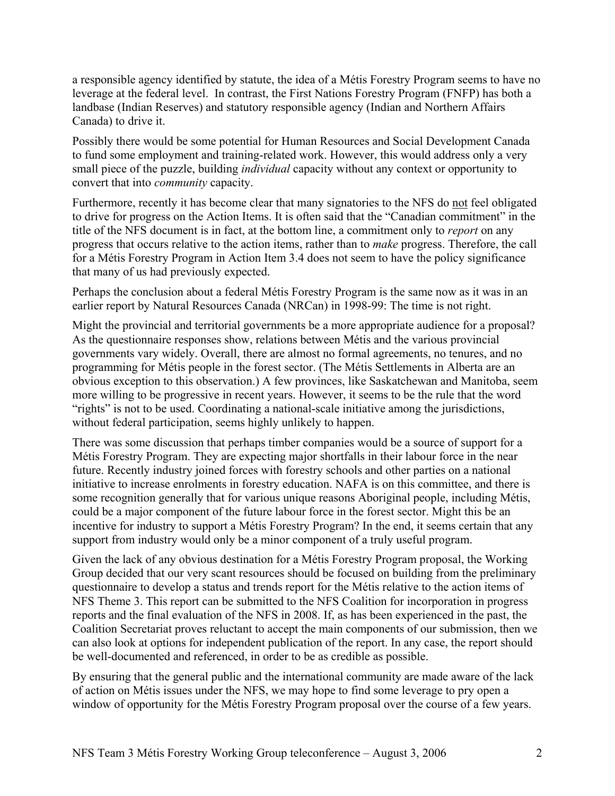a responsible agency identified by statute, the idea of a Métis Forestry Program seems to have no leverage at the federal level. In contrast, the First Nations Forestry Program (FNFP) has both a landbase (Indian Reserves) and statutory responsible agency (Indian and Northern Affairs Canada) to drive it.

Possibly there would be some potential for Human Resources and Social Development Canada to fund some employment and training-related work. However, this would address only a very small piece of the puzzle, building *individual* capacity without any context or opportunity to convert that into *community* capacity.

Furthermore, recently it has become clear that many signatories to the NFS do not feel obligated to drive for progress on the Action Items. It is often said that the "Canadian commitment" in the title of the NFS document is in fact, at the bottom line, a commitment only to *report* on any progress that occurs relative to the action items, rather than to *make* progress. Therefore, the call for a Métis Forestry Program in Action Item 3.4 does not seem to have the policy significance that many of us had previously expected.

Perhaps the conclusion about a federal Métis Forestry Program is the same now as it was in an earlier report by Natural Resources Canada (NRCan) in 1998-99: The time is not right.

Might the provincial and territorial governments be a more appropriate audience for a proposal? As the questionnaire responses show, relations between Métis and the various provincial governments vary widely. Overall, there are almost no formal agreements, no tenures, and no programming for Métis people in the forest sector. (The Métis Settlements in Alberta are an obvious exception to this observation.) A few provinces, like Saskatchewan and Manitoba, seem more willing to be progressive in recent years. However, it seems to be the rule that the word "rights" is not to be used. Coordinating a national-scale initiative among the jurisdictions, without federal participation, seems highly unlikely to happen.

There was some discussion that perhaps timber companies would be a source of support for a Métis Forestry Program. They are expecting major shortfalls in their labour force in the near future. Recently industry joined forces with forestry schools and other parties on a national initiative to increase enrolments in forestry education. NAFA is on this committee, and there is some recognition generally that for various unique reasons Aboriginal people, including Métis, could be a major component of the future labour force in the forest sector. Might this be an incentive for industry to support a Métis Forestry Program? In the end, it seems certain that any support from industry would only be a minor component of a truly useful program.

Given the lack of any obvious destination for a Métis Forestry Program proposal, the Working Group decided that our very scant resources should be focused on building from the preliminary questionnaire to develop a status and trends report for the Métis relative to the action items of NFS Theme 3. This report can be submitted to the NFS Coalition for incorporation in progress reports and the final evaluation of the NFS in 2008. If, as has been experienced in the past, the Coalition Secretariat proves reluctant to accept the main components of our submission, then we can also look at options for independent publication of the report. In any case, the report should be well-documented and referenced, in order to be as credible as possible.

By ensuring that the general public and the international community are made aware of the lack of action on Métis issues under the NFS, we may hope to find some leverage to pry open a window of opportunity for the Métis Forestry Program proposal over the course of a few years.